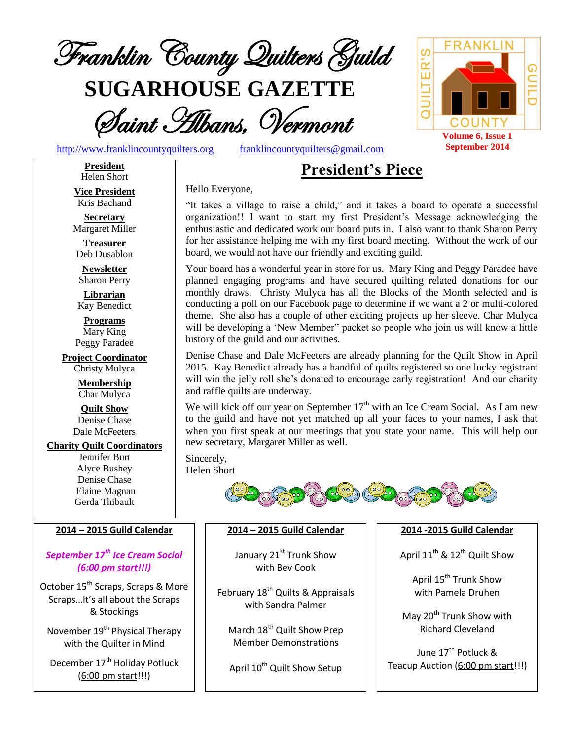

**SUGARHOUSE GAZETTE**

Saint Albans, Vermont

Hello Everyone,

[http://www.franklincountyquilters.org](http://www.franklincountyquilters.org/) [franklincountyquilters@gmail.com](mailto:franklincountyquilters@gmail.com)

# **President's Piece**

**President** Helen Short

**Vice President** Kris Bachand

**Secretary** Margaret Miller

**Treasurer** Deb Dusablon

**Newsletter** Sharon Perry

**Librarian** Kay Benedict

**Programs** Mary King Peggy Paradee

**Project Coordinator** Christy Mulyca

> **Membership** Char Mulyca

**Quilt Show** Denise Chase Dale McFeeters

## **Charity Quilt Coordinators**

Jennifer Burt Alyce Bushey Denise Chase Elaine Magnan Gerda Thibault

### **2014 – 2015 Guild Calendar**

## *September 17th Ice Cream Social (6:00 pm start!!!)*

October 15<sup>th</sup> Scraps, Scraps & More Scraps…It's all about the Scraps & Stockings

November 19<sup>th</sup> Physical Therapy with the Quilter in Mind

December 17<sup>th</sup> Holiday Potluck (6:00 pm start!!!)

"It takes a village to raise a child," and it takes a board to operate a successful organization!! I want to start my first President's Message acknowledging the enthusiastic and dedicated work our board puts in. I also want to thank Sharon Perry for her assistance helping me with my first board meeting. Without the work of our board, we would not have our friendly and exciting guild.

Your board has a wonderful year in store for us. Mary King and Peggy Paradee have planned engaging programs and have secured quilting related donations for our monthly draws. Christy Mulyca has all the Blocks of the Month selected and is conducting a poll on our Facebook page to determine if we want a 2 or multi-colored theme. She also has a couple of other exciting projects up her sleeve. Char Mulyca will be developing a 'New Member" packet so people who join us will know a little history of the guild and our activities.

Denise Chase and Dale McFeeters are already planning for the Quilt Show in April 2015. Kay Benedict already has a handful of quilts registered so one lucky registrant will win the jelly roll she's donated to encourage early registration! And our charity and raffle quilts are underway.

We will kick off our year on September  $17<sup>th</sup>$  with an Ice Cream Social. As I am new to the guild and have not yet matched up all your faces to your names, I ask that when you first speak at our meetings that you state your name. This will help our new secretary, Margaret Miller as well.

Sincerely, Helen Short



### **2014 – 2015 Guild Calendar**

January 21<sup>st</sup> Trunk Show with Bev Cook

February 18<sup>th</sup> Quilts & Appraisals with Sandra Palmer

March 18<sup>th</sup> Quilt Show Prep Member Demonstrations

April 10<sup>th</sup> Quilt Show Setup

**2014 -2015 Guild Calendar**

April  $11^{th}$  &  $12^{th}$  Quilt Show

April 15<sup>th</sup> Trunk Show with Pamela Druhen

May 20<sup>th</sup> Trunk Show with Richard Cleveland

June 17<sup>th</sup> Potluck <mark>&</mark> Teacup Auction (6:00 pm start!!!)

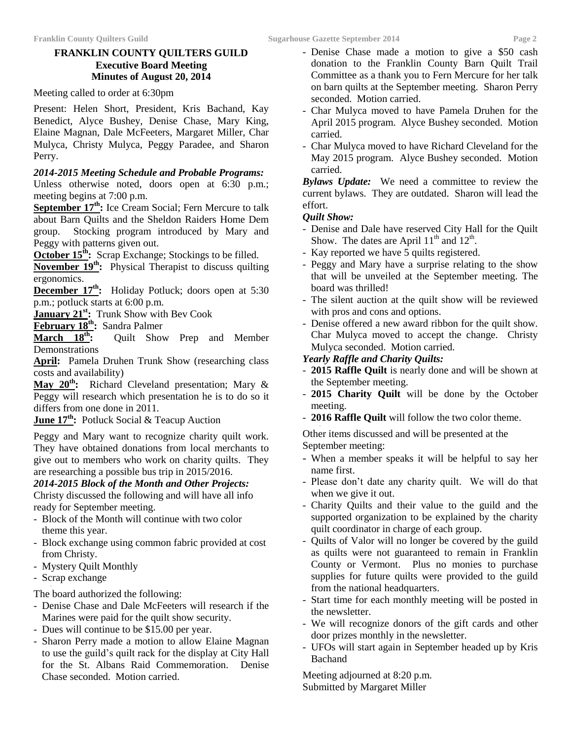### **FRANKLIN COUNTY QUILTERS GUILD Executive Board Meeting Minutes of August 20, 2014**

Meeting called to order at 6:30pm

Present: Helen Short, President, Kris Bachand, Kay Benedict, Alyce Bushey, Denise Chase, Mary King, Elaine Magnan, Dale McFeeters, Margaret Miller, Char Mulyca, Christy Mulyca, Peggy Paradee, and Sharon Perry.

### *2014-2015 Meeting Schedule and Probable Programs:*

Unless otherwise noted, doors open at 6:30 p.m.; meeting begins at 7:00 p.m.

**September 17<sup>th</sup>:** Ice Cream Social; Fern Mercure to talk about Barn Quilts and the Sheldon Raiders Home Dem group. Stocking program introduced by Mary and Peggy with patterns given out.

**October 15<sup>th</sup>:** Scrap Exchange; Stockings to be filled.

**November 19th:** Physical Therapist to discuss quilting ergonomics.

**December 17th:** Holiday Potluck; doors open at 5:30 p.m.; potluck starts at 6:00 p.m.

**January 21st:** Trunk Show with Bev Cook

**February 18th:** Sandra Palmer

March 18<sup>th</sup>: Ouilt Show Prep and Member Demonstrations

April: Pamela Druhen Trunk Show (researching class costs and availability)

**May 20th:** Richard Cleveland presentation; Mary & Peggy will research which presentation he is to do so it differs from one done in 2011.

**June 17th:** Potluck Social & Teacup Auction

Peggy and Mary want to recognize charity quilt work. They have obtained donations from local merchants to give out to members who work on charity quilts. They are researching a possible bus trip in 2015/2016.

*2014-2015 Block of the Month and Other Projects:*

Christy discussed the following and will have all info ready for September meeting.

- Block of the Month will continue with two color theme this year.
- Block exchange using common fabric provided at cost from Christy.
- Mystery Quilt Monthly
- Scrap exchange -

The board authorized the following:

- Denise Chase and Dale McFeeters will research if the Marines were paid for the quilt show security.
- Dues will continue to be \$15.00 per year.
- Sharon Perry made a motion to allow Elaine Magnan to use the guild's quilt rack for the display at City Hall for the St. Albans Raid Commemoration. Denise Chase seconded. Motion carried.
- Denise Chase made a motion to give a \$50 cash donation to the Franklin County Barn Quilt Trail Committee as a thank you to Fern Mercure for her talk on barn quilts at the September meeting. Sharon Perry seconded. Motion carried.
- Char Mulyca moved to have Pamela Druhen for the April 2015 program. Alyce Bushey seconded. Motion carried.
- Char Mulyca moved to have Richard Cleveland for the May 2015 program. Alyce Bushey seconded. Motion carried.

*Bylaws Update:* We need a committee to review the current bylaws. They are outdated. Sharon will lead the effort.

### *Quilt Show:*

- Denise and Dale have reserved City Hall for the Quilt Show. The dates are April  $11<sup>th</sup>$  and  $12<sup>th</sup>$ .
- Kay reported we have 5 quilts registered.
- Peggy and Mary have a surprise relating to the show that will be unveiled at the September meeting. The board was thrilled!
- The silent auction at the quilt show will be reviewed with pros and cons and options.
- Denise offered a new award ribbon for the quilt show. Char Mulyca moved to accept the change. Christy Mulyca seconded. Motion carried.

### *Yearly Raffle and Charity Quilts:*

- **2015 Raffle Quilt** is nearly done and will be shown at the September meeting.
- **2015 Charity Quilt** will be done by the October meeting.
- **2016 Raffle Quilt** will follow the two color theme. -

Other items discussed and will be presented at the September meeting:

- When a member speaks it will be helpful to say her name first.
- Please don't date any charity quilt. We will do that when we give it out.
- Charity Quilts and their value to the guild and the supported organization to be explained by the charity quilt coordinator in charge of each group.
- Quilts of Valor will no longer be covered by the guild as quilts were not guaranteed to remain in Franklin County or Vermont. Plus no monies to purchase supplies for future quilts were provided to the guild from the national headquarters.
- Start time for each monthly meeting will be posted in the newsletter.
- We will recognize donors of the gift cards and other door prizes monthly in the newsletter.
- UFOs will start again in September headed up by Kris Bachand -

Meeting adjourned at 8:20 p.m. Submitted by Margaret Miller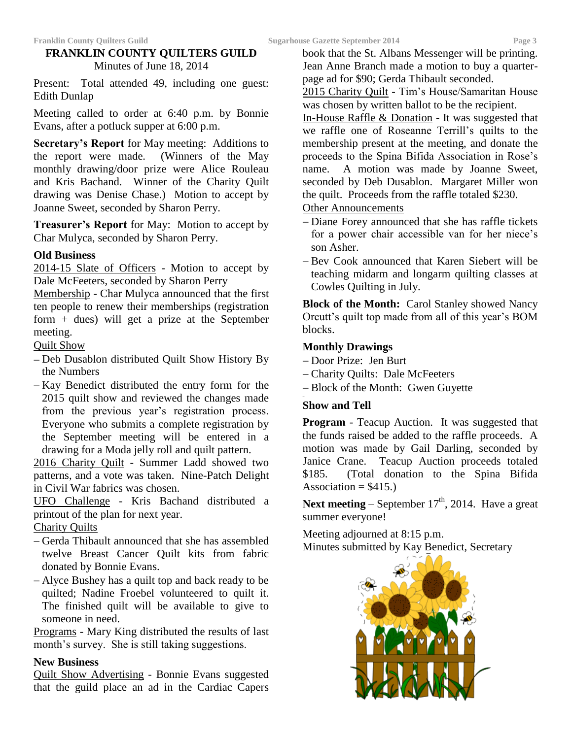# **FRANKLIN COUNTY QUILTERS GUILD** Minutes of June 18, 2014

Present: Total attended 49, including one guest: Edith Dunlap

Meeting called to order at 6:40 p.m. by Bonnie Evans, after a potluck supper at 6:00 p.m.

**Secretary's Report** for May meeting: Additions to the report were made. (Winners of the May monthly drawing/door prize were Alice Rouleau and Kris Bachand. Winner of the Charity Quilt drawing was Denise Chase.) Motion to accept by Joanne Sweet, seconded by Sharon Perry.

**Treasurer's Report** for May: Motion to accept by Char Mulyca, seconded by Sharon Perry.

### **Old Business**

2014-15 Slate of Officers - Motion to accept by Dale McFeeters, seconded by Sharon Perry

Membership - Char Mulyca announced that the first ten people to renew their memberships (registration form + dues) will get a prize at the September meeting.

Quilt Show

- Deb Dusablon distributed Quilt Show History By the Numbers
- $-Kay$  Benedict distributed the entry form for the 2015 quilt show and reviewed the changes made from the previous year's registration process. Everyone who submits a complete registration by the September meeting will be entered in a drawing for a Moda jelly roll and quilt pattern.

2016 Charity Quilt - Summer Ladd showed two patterns, and a vote was taken. Nine-Patch Delight in Civil War fabrics was chosen.

UFO Challenge - Kris Bachand distributed a printout of the plan for next year.

Charity Quilts

- Gerda Thibault announced that she has assembled twelve Breast Cancer Quilt kits from fabric donated by Bonnie Evans.
- Alyce Bushey has a quilt top and back ready to be quilted; Nadine Froebel volunteered to quilt it. The finished quilt will be available to give to someone in need.

Programs - Mary King distributed the results of last month's survey. She is still taking suggestions.

### **New Business**

Quilt Show Advertising - Bonnie Evans suggested that the guild place an ad in the Cardiac Capers

book that the St. Albans Messenger will be printing. Jean Anne Branch made a motion to buy a quarterpage ad for \$90; Gerda Thibault seconded.

2015 Charity Quilt - Tim's House/Samaritan House was chosen by written ballot to be the recipient.

In-House Raffle & Donation - It was suggested that we raffle one of Roseanne Terrill's quilts to the membership present at the meeting, and donate the proceeds to the Spina Bifida Association in Rose's name. A motion was made by Joanne Sweet, seconded by Deb Dusablon. Margaret Miller won the quilt. Proceeds from the raffle totaled \$230.

## Other Announcements

- Diane Forey announced that she has raffle tickets for a power chair accessible van for her niece's son Asher.
- Bev Cook announced that Karen Siebert will be teaching midarm and longarm quilting classes at Cowles Quilting in July.

**Block of the Month:** Carol Stanley showed Nancy Orcutt's quilt top made from all of this year's BOM blocks.

### **Monthly Drawings**

- Door Prize: Jen Burt
- Charity Quilts: Dale McFeeters
- Block of the Month: Gwen Guyette

### **Show and Tell**

**Program** - Teacup Auction. It was suggested that the funds raised be added to the raffle proceeds. A motion was made by Gail Darling, seconded by Janice Crane. Teacup Auction proceeds totaled \$185. (Total donation to the Spina Bifida Association =  $$415.$ )

**Next meeting** – September  $17<sup>th</sup>$ , 2014. Have a great summer everyone!

Meeting adjourned at 8:15 p.m. Minutes submitted by Kay Benedict, Secretary

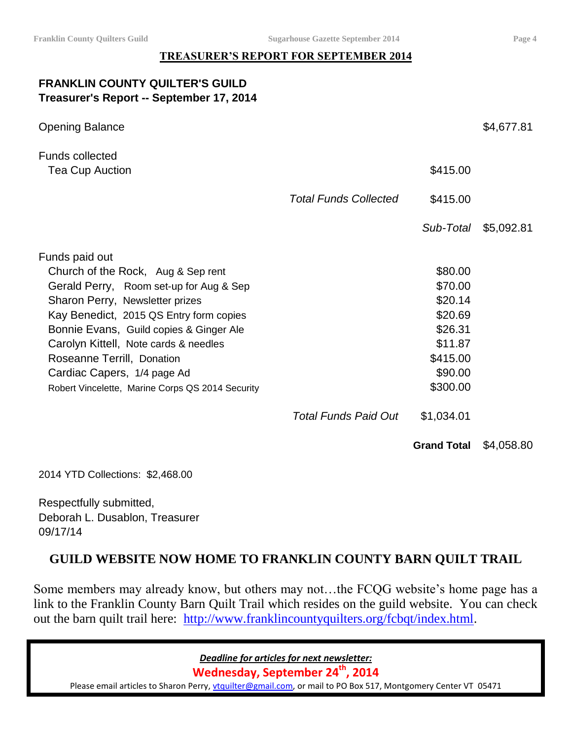# **TREASURER'S REPORT FOR SEPTEMBER 2014**

# **FRANKLIN COUNTY QUILTER'S GUILD Treasurer's Report -- September 17, 2014**

| <b>Opening Balance</b>                                                                                                                                                                                                                                                                                                                                                             |                              |                                                                                                   | \$4,677.81 |
|------------------------------------------------------------------------------------------------------------------------------------------------------------------------------------------------------------------------------------------------------------------------------------------------------------------------------------------------------------------------------------|------------------------------|---------------------------------------------------------------------------------------------------|------------|
| <b>Funds collected</b><br>Tea Cup Auction                                                                                                                                                                                                                                                                                                                                          |                              | \$415.00                                                                                          |            |
|                                                                                                                                                                                                                                                                                                                                                                                    | <b>Total Funds Collected</b> | \$415.00                                                                                          |            |
|                                                                                                                                                                                                                                                                                                                                                                                    |                              | Sub-Total                                                                                         | \$5,092.81 |
| Funds paid out<br>Church of the Rock, Aug & Sep rent<br>Gerald Perry, Room set-up for Aug & Sep<br>Sharon Perry, Newsletter prizes<br>Kay Benedict, 2015 QS Entry form copies<br>Bonnie Evans, Guild copies & Ginger Ale<br>Carolyn Kittell, Note cards & needles<br>Roseanne Terrill, Donation<br>Cardiac Capers, 1/4 page Ad<br>Robert Vincelette, Marine Corps QS 2014 Security |                              | \$80.00<br>\$70.00<br>\$20.14<br>\$20.69<br>\$26.31<br>\$11.87<br>\$415.00<br>\$90.00<br>\$300.00 |            |
|                                                                                                                                                                                                                                                                                                                                                                                    | <b>Total Funds Paid Out</b>  | \$1,034.01                                                                                        |            |
|                                                                                                                                                                                                                                                                                                                                                                                    |                              | <b>Grand Total</b>                                                                                | \$4,058.80 |

2014 YTD Collections: \$2,468.00

Respectfully submitted, Deborah L. Dusablon, Treasurer 09/17/14

# **GUILD WEBSITE NOW HOME TO FRANKLIN COUNTY BARN QUILT TRAIL**

Some members may already know, but others may not…the FCQG website's home page has a link to the Franklin County Barn Quilt Trail which resides on the guild website. You can check out the barn quilt trail here: [http://www.franklincountyquilters.org/fcbqt/index.html.](http://www.franklincountyquilters.org/fcbqt/index.html)

*Deadline for articles for next newsletter:*

**Wednesday, September 24 th, 2014**

Please email articles to Sharon Perry, [vtquilter@gmail.com,](mailto:vtquilter@gmail.com) or mail to PO Box 517, Montgomery Center VT 05471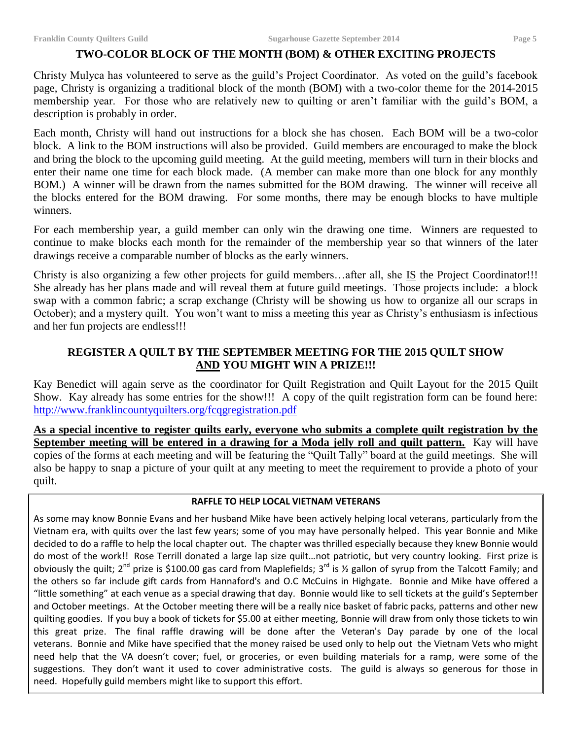#### **TWO-COLOR BLOCK OF THE MONTH (BOM) & OTHER EXCITING PROJECTS**

Christy Mulyca has volunteered to serve as the guild's Project Coordinator. As voted on the guild's facebook page, Christy is organizing a traditional block of the month (BOM) with a two-color theme for the 2014-2015 membership year. For those who are relatively new to quilting or aren't familiar with the guild's BOM, a description is probably in order.

Each month, Christy will hand out instructions for a block she has chosen. Each BOM will be a two-color block. A link to the BOM instructions will also be provided. Guild members are encouraged to make the block and bring the block to the upcoming guild meeting. At the guild meeting, members will turn in their blocks and enter their name one time for each block made. (A member can make more than one block for any monthly BOM.) A winner will be drawn from the names submitted for the BOM drawing. The winner will receive all the blocks entered for the BOM drawing. For some months, there may be enough blocks to have multiple winners.

For each membership year, a guild member can only win the drawing one time. Winners are requested to continue to make blocks each month for the remainder of the membership year so that winners of the later drawings receive a comparable number of blocks as the early winners.

Christy is also organizing a few other projects for guild members...after all, she IS the Project Coordinator!!! She already has her plans made and will reveal them at future guild meetings. Those projects include: a block swap with a common fabric; a scrap exchange (Christy will be showing us how to organize all our scraps in October); and a mystery quilt. You won't want to miss a meeting this year as Christy's enthusiasm is infectious and her fun projects are endless!!!

## **REGISTER A QUILT BY THE SEPTEMBER MEETING FOR THE 2015 QUILT SHOW AND YOU MIGHT WIN A PRIZE!!!**

Kay Benedict will again serve as the coordinator for Quilt Registration and Quilt Layout for the 2015 Quilt Show. Kay already has some entries for the show!!! A copy of the quilt registration form can be found here: <http://www.franklincountyquilters.org/fcqgregistration.pdf>

**As a special incentive to register quilts early, everyone who submits a complete quilt registration by the September meeting will be entered in a drawing for a Moda jelly roll and quilt pattern.** Kay will have copies of the forms at each meeting and will be featuring the "Quilt Tally" board at the guild meetings. She will also be happy to snap a picture of your quilt at any meeting to meet the requirement to provide a photo of your quilt.

#### **RAFFLE TO HELP LOCAL VIETNAM VETERANS**

As some may know Bonnie Evans and her husband Mike have been actively helping local veterans, particularly from the Vietnam era, with quilts over the last few years; some of you may have personally helped. This year Bonnie and Mike decided to do a raffle to help the local chapter out. The chapter was thrilled especially because they knew Bonnie would do most of the work!! Rose Terrill donated a large lap size quilt…not patriotic, but very country looking. First prize is obviously the quilt; 2<sup>nd</sup> prize is \$100.00 gas card from Maplefields; 3<sup>rd</sup> is ½ gallon of syrup from the Talcott Family; and the others so far include gift cards from Hannaford's and O.C McCuins in Highgate. Bonnie and Mike have offered a "little something" at each venue as a special drawing that day. Bonnie would like to sell tickets at the guild's September and October meetings. At the October meeting there will be a really nice basket of fabric packs, patterns and other new quilting goodies. If you buy a book of tickets for \$5.00 at either meeting, Bonnie will draw from only those tickets to win this great prize. The final raffle drawing will be done after the Veteran's Day parade by one of the local veterans. Bonnie and Mike have specified that the money raised be used only to help out the Vietnam Vets who might need help that the VA doesn't cover; fuel, or groceries, or even building materials for a ramp, were some of the suggestions. They don't want it used to cover administrative costs. The guild is always so generous for those in need. Hopefully guild members might like to support this effort.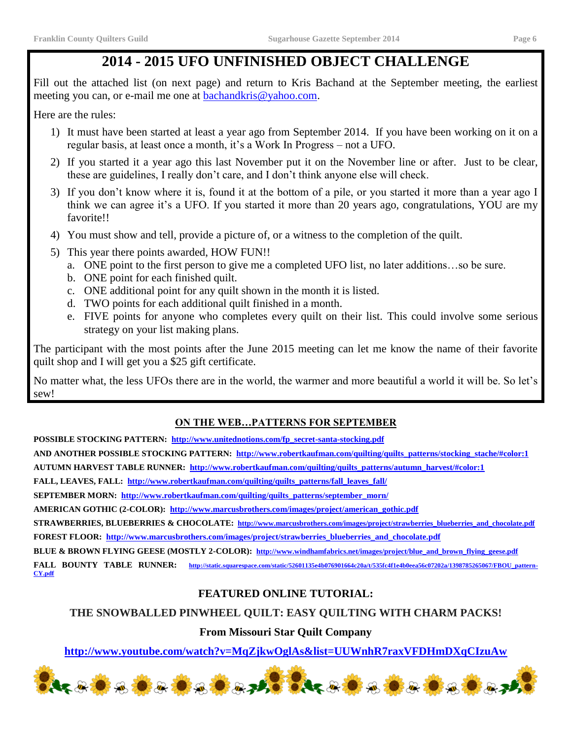# **2014 - 2015 UFO UNFINISHED OBJECT CHALLENGE**

Fill out the attached list (on next page) and return to Kris Bachand at the September meeting, the earliest meeting you can, or e-mail me one at **bachandkris@yahoo.com**.

Here are the rules:

- 1) It must have been started at least a year ago from September 2014. If you have been working on it on a regular basis, at least once a month, it's a Work In Progress – not a UFO.
- 2) If you started it a year ago this last November put it on the November line or after. Just to be clear, these are guidelines, I really don't care, and I don't think anyone else will check.
- 3) If you don't know where it is, found it at the bottom of a pile, or you started it more than a year ago I think we can agree it's a UFO. If you started it more than 20 years ago, congratulations, YOU are my favorite!!
- 4) You must show and tell, provide a picture of, or a witness to the completion of the quilt.
- 5) This year there points awarded, HOW FUN!!
	- a. ONE point to the first person to give me a completed UFO list, no later additions…so be sure.
	- b. ONE point for each finished quilt.
	- c. ONE additional point for any quilt shown in the month it is listed.
	- d. TWO points for each additional quilt finished in a month.
	- e. FIVE points for anyone who completes every quilt on their list. This could involve some serious strategy on your list making plans.

The participant with the most points after the June 2015 meeting can let me know the name of their favorite quilt shop and I will get you a \$25 gift certificate.

No matter what, the less UFOs there are in the world, the warmer and more beautiful a world it will be. So let's sew!

# **ON THE WEB…PATTERNS FOR SEPTEMBER**

**POSSIBLE STOCKING PATTERN: [http://www.unitednotions.com/fp\\_secret-santa-stocking.pdf](http://www.unitednotions.com/fp_secret-santa-stocking.pdf)**

**AND ANOTHER POSSIBLE STOCKING PATTERN: [http://www.robertkaufman.com/quilting/quilts\\_patterns/stocking\\_stache/#color:1](http://www.robertkaufman.com/quilting/quilts_patterns/stocking_stache/#color:1)**

**AUTUMN HARVEST TABLE RUNNER: [http://www.robertkaufman.com/quilting/quilts\\_patterns/autumn\\_harvest/#color:1](http://www.robertkaufman.com/quilting/quilts_patterns/autumn_harvest/#color:1)**

**FALL, LEAVES, FALL: [http://www.robertkaufman.com/quilting/quilts\\_patterns/fall\\_leaves\\_fall/](http://www.robertkaufman.com/quilting/quilts_patterns/fall_leaves_fall/)**

**SEPTEMBER MORN: [http://www.robertkaufman.com/quilting/quilts\\_patterns/september\\_morn/](http://www.robertkaufman.com/quilting/quilts_patterns/september_morn/)**

**AMERICAN GOTHIC (2-COLOR): [http://www.marcusbrothers.com/images/project/american\\_gothic.pdf](http://www.marcusbrothers.com/images/project/american_gothic.pdf)**

**STRAWBERRIES, BLUEBERRIES & CHOCOLATE: [http://www.marcusbrothers.com/images/project/strawberries\\_blueberries\\_and\\_chocolate.pdf](http://www.marcusbrothers.com/images/project/strawberries_blueberries_and_chocolate.pdf) FOREST FLOOR: [http://www.marcusbrothers.com/images/project/strawberries\\_blueberries\\_and\\_chocolate.pdf](http://www.marcusbrothers.com/images/project/strawberries_blueberries_and_chocolate.pdf)**

**BLUE & BROWN FLYING GEESE (MOSTLY 2-COLOR): [http://www.windhamfabrics.net/images/project/blue\\_and\\_brown\\_flying\\_geese.pdf](http://www.windhamfabrics.net/images/project/blue_and_brown_flying_geese.pdf)**

**FALL BOUNTY TABLE RUNNER: [http://static.squarespace.com/static/52601135e4b076901664c20a/t/535fc4f1e4b0eea56c07202a/1398785265067/FBOU\\_pattern-](http://static.squarespace.com/static/52601135e4b076901664c20a/t/535fc4f1e4b0eea56c07202a/1398785265067/FBOU_pattern-CY.pdf)[CY.pdf](http://static.squarespace.com/static/52601135e4b076901664c20a/t/535fc4f1e4b0eea56c07202a/1398785265067/FBOU_pattern-CY.pdf)**

# **FEATURED ONLINE TUTORIAL:**

# **THE SNOWBALLED PINWHEEL QUILT: EASY QUILTING WITH CHARM PACKS!**

# **From Missouri Star Quilt Company**

**<http://www.youtube.com/watch?v=MqZjkwOglAs&list=UUWnhR7raxVFDHmDXqCIzuAw>**

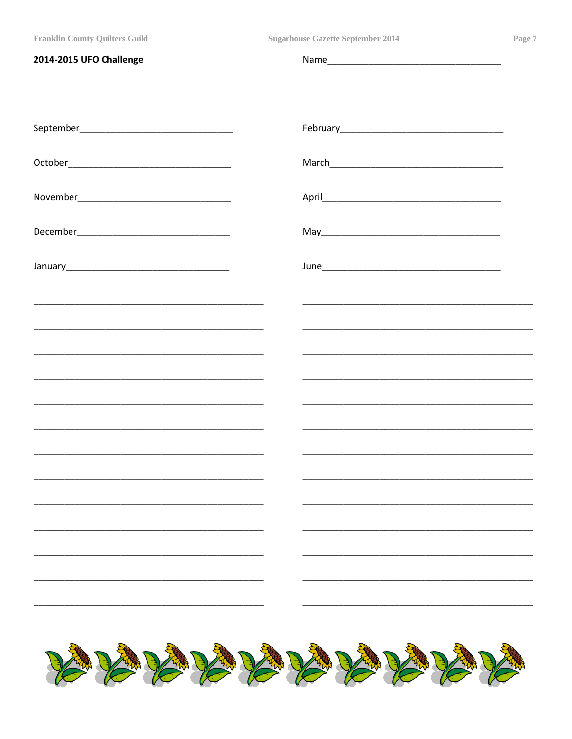**Sugarhouse Gazette September 2014** 

| 2014-2015 UFO Challenge                                                                                               |  |
|-----------------------------------------------------------------------------------------------------------------------|--|
|                                                                                                                       |  |
|                                                                                                                       |  |
|                                                                                                                       |  |
|                                                                                                                       |  |
|                                                                                                                       |  |
|                                                                                                                       |  |
| <u> 1989 - Johann Stoff, deutscher Stoff, der Stoff, der Stoff, der Stoff, der Stoff, der Stoff, der Stoff, der S</u> |  |
|                                                                                                                       |  |
|                                                                                                                       |  |
|                                                                                                                       |  |
|                                                                                                                       |  |
|                                                                                                                       |  |
|                                                                                                                       |  |
|                                                                                                                       |  |
|                                                                                                                       |  |
|                                                                                                                       |  |
|                                                                                                                       |  |
| <b>BARARARARARARARA</b>                                                                                               |  |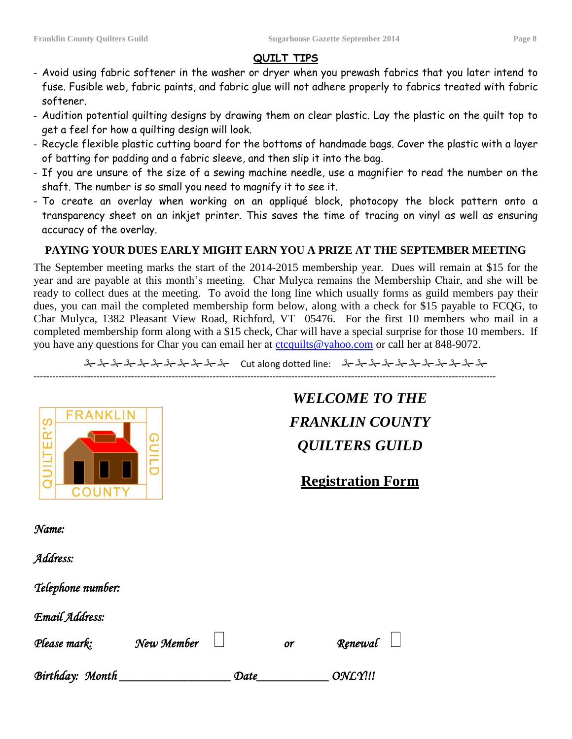### **QUILT TIPS**

- Avoid using fabric softener in the washer or dryer when you prewash fabrics that you later intend to fuse. Fusible web, fabric paints, and fabric glue will not adhere properly to fabrics treated with fabric softener.
- Audition potential quilting designs by drawing them on clear plastic. Lay the plastic on the quilt top to get a feel for how a quilting design will look.
- Recycle flexible plastic cutting board for the bottoms of handmade bags. Cover the plastic with a layer of batting for padding and a fabric sleeve, and then slip it into the bag.
- If you are unsure of the size of a sewing machine needle, use a magnifier to read the number on the shaft. The number is so small you need to magnify it to see it.
- To create an overlay when working on an appliqué block, photocopy the block pattern onto a transparency sheet on an inkjet printer. This saves the time of tracing on vinyl as well as ensuring accuracy of the overlay.

## **PAYING YOUR DUES EARLY MIGHT EARN YOU A PRIZE AT THE SEPTEMBER MEETING**

The September meeting marks the start of the 2014-2015 membership year. Dues will remain at \$15 for the year and are payable at this month's meeting. Char Mulyca remains the Membership Chair, and she will be ready to collect dues at the meeting. To avoid the long line which usually forms as guild members pay their dues, you can mail the completed membership form below, along with a check for \$15 payable to FCQG, to Char Mulyca, 1382 Pleasant View Road, Richford, VT 05476. For the first 10 members who mail in a completed membership form along with a \$15 check, Char will have a special surprise for those 10 members. If you have any questions for Char you can email her at [ctcquilts@yahoo.com](mailto:ctcquilts@yahoo.com) or call her at 848-9072.

2 3 2 3 3 3 4 3 3 3 4 3 4 5 4 5 4 6 4 5 4 5 4 5 4 5 5 4 5 5 4 5 5 5 4 5 5 5 6 5 4

---------------------------------------------------------------------------------------------------------------------------------------------------



# *WELCOME TO THE FRANKLIN COUNTY QUILTERS GUILD*

# **Registration Form**

*Name:* 

*Address:* 

*Telephone number:* 

*Email Address:* 

| Please mark:    | New Member |      | <b>or</b> | Renewal $\Box$ |  |
|-----------------|------------|------|-----------|----------------|--|
| Birthday: Month |            | Date |           | ONLY!!!        |  |